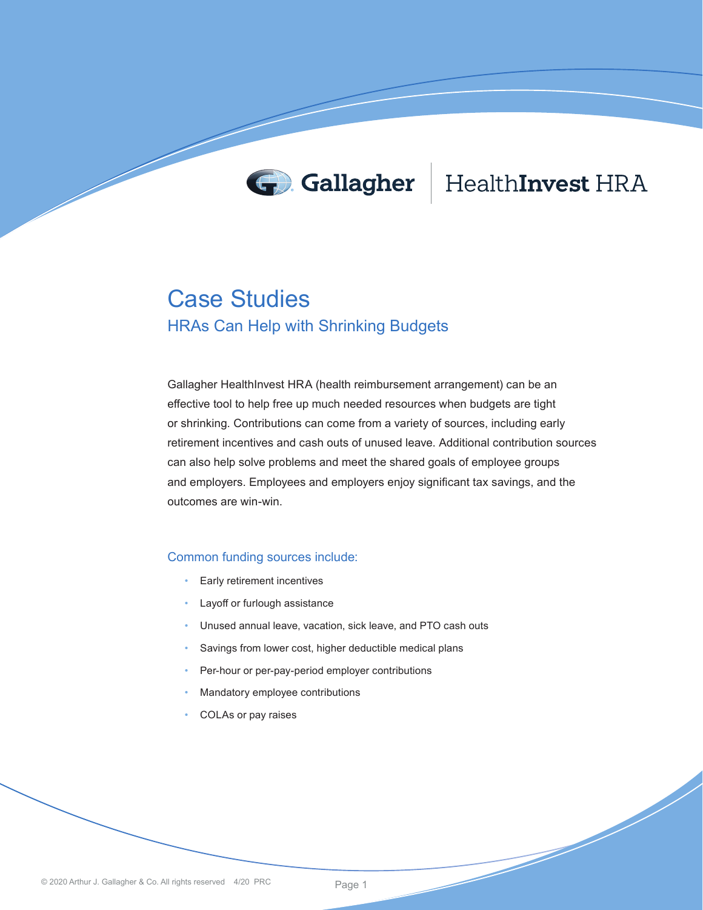

# HealthInvest HRA

# Case Studies HRAs Can Help with Shrinking Budgets

Gallagher HealthInvest HRA (health reimbursement arrangement) can be an effective tool to help free up much needed resources when budgets are tight or shrinking. Contributions can come from a variety of sources, including early retirement incentives and cash outs of unused leave. Additional contribution sources can also help solve problems and meet the shared goals of employee groups and employers. Employees and employers enjoy significant tax savings, and the outcomes are win-win.

# Common funding sources include:

- Early retirement incentives
- Layoff or furlough assistance
- Unused annual leave, vacation, sick leave, and PTO cash outs
- Savings from lower cost, higher deductible medical plans
- Per-hour or per-pay-period employer contributions
- Mandatory employee contributions
- COLAs or pay raises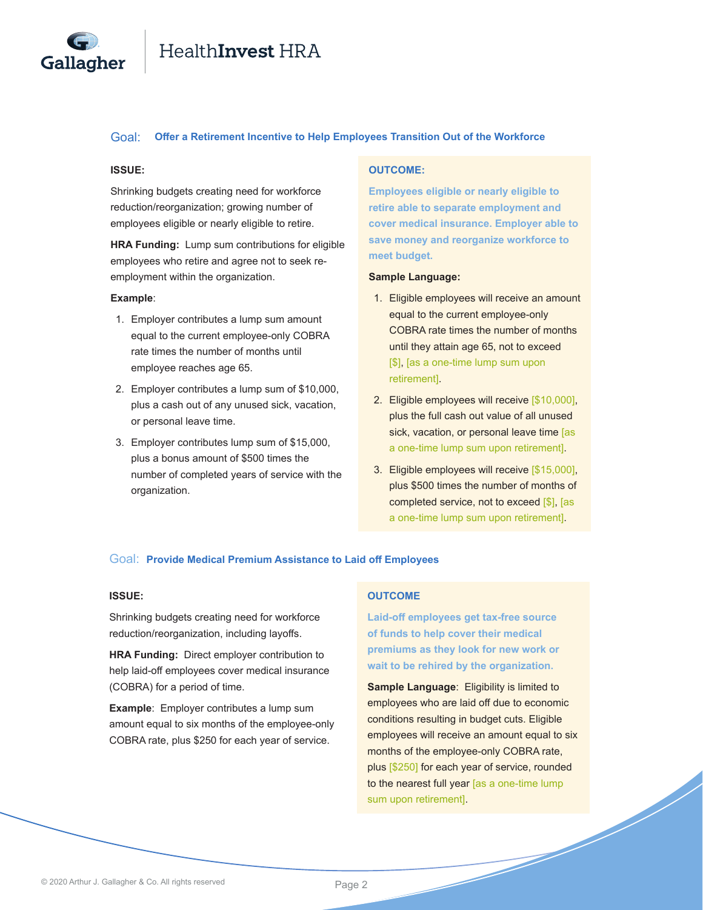

# Health**Invest** HRA

#### Goal: **Offer a Retirement Incentive to Help Employees Transition Out of the Workforce**

# **ISSUE:**

Shrinking budgets creating need for workforce reduction/reorganization; growing number of employees eligible or nearly eligible to retire.

**HRA Funding:** Lump sum contributions for eligible employees who retire and agree not to seek reemployment within the organization.

#### **Example**:

- 1. Employer contributes a lump sum amount equal to the current employee-only COBRA rate times the number of months until employee reaches age 65.
- 2. Employer contributes a lump sum of \$10,000, plus a cash out of any unused sick, vacation, or personal leave time.
- 3. Employer contributes lump sum of \$15,000, plus a bonus amount of \$500 times the number of completed years of service with the organization.

## **OUTCOME:**

**Employees eligible or nearly eligible to retire able to separate employment and cover medical insurance. Employer able to save money and reorganize workforce to meet budget.**

#### **Sample Language:**

- 1. Eligible employees will receive an amount equal to the current employee-only COBRA rate times the number of months until they attain age 65, not to exceed [\$], [as a one-time lump sum upon retirement].
- 2. Eligible employees will receive [\$10,000], plus the full cash out value of all unused sick, vacation, or personal leave time [as a one-time lump sum upon retirement].
- 3. Eligible employees will receive [\$15,000], plus \$500 times the number of months of completed service, not to exceed [\$], [as a one-time lump sum upon retirement].

#### Goal: **Provide Medical Premium Assistance to Laid off Employees**

### **ISSUE:**

Shrinking budgets creating need for workforce reduction/reorganization, including layoffs.

**HRA Funding:** Direct employer contribution to help laid-off employees cover medical insurance (COBRA) for a period of time.

**Example**: Employer contributes a lump sum amount equal to six months of the employee-only COBRA rate, plus \$250 for each year of service.

# **OUTCOME**

**Laid-off employees get tax-free source of funds to help cover their medical premiums as they look for new work or wait to be rehired by the organization.**

**Sample Language**: Eligibility is limited to employees who are laid off due to economic conditions resulting in budget cuts. Eligible employees will receive an amount equal to six months of the employee-only COBRA rate, plus [\$250] for each year of service, rounded to the nearest full year [as a one-time lump sum upon retirement].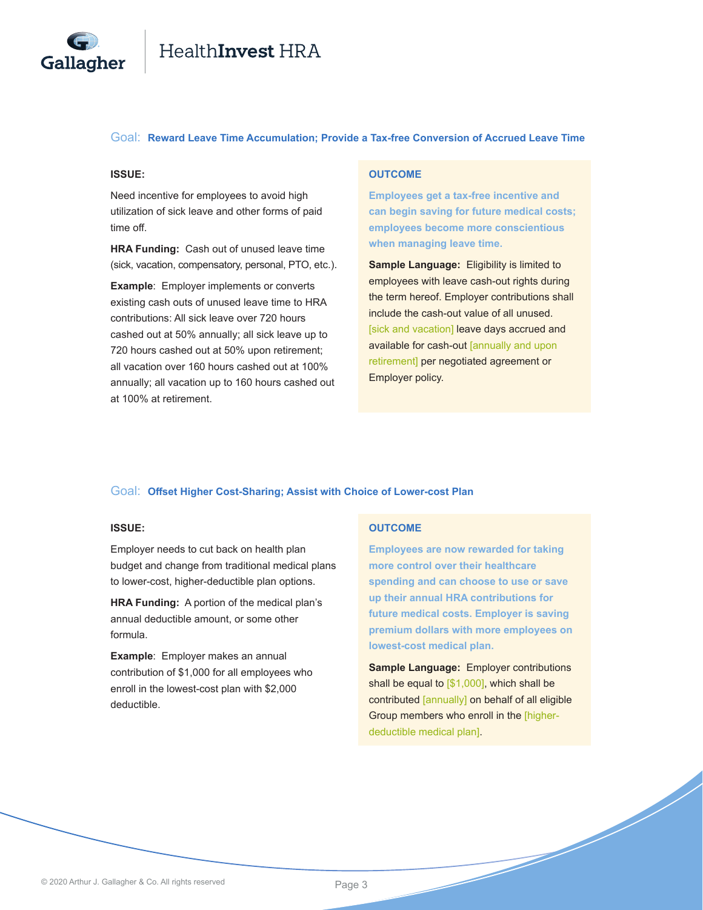

#### Goal: **Reward Leave Time Accumulation; Provide a Tax-free Conversion of Accrued Leave Time**

# **ISSUE:**

Need incentive for employees to avoid high utilization of sick leave and other forms of paid time off.

**HRA Funding:** Cash out of unused leave time (sick, vacation, compensatory, personal, PTO, etc.).

**Example**: Employer implements or converts existing cash outs of unused leave time to HRA contributions: All sick leave over 720 hours cashed out at 50% annually; all sick leave up to 720 hours cashed out at 50% upon retirement; all vacation over 160 hours cashed out at 100% annually; all vacation up to 160 hours cashed out at 100% at retirement.

#### **OUTCOME**

**Employees get a tax-free incentive and can begin saving for future medical costs; employees become more conscientious when managing leave time.**

**Sample Language:** Eligibility is limited to employees with leave cash-out rights during the term hereof. Employer contributions shall include the cash-out value of all unused. [sick and vacation] leave days accrued and available for cash-out [annually and upon retirement] per negotiated agreement or Employer policy.

# Goal: **Offset Higher Cost-Sharing; Assist with Choice of Lower-cost Plan**

#### **ISSUE:**

Employer needs to cut back on health plan budget and change from traditional medical plans to lower-cost, higher-deductible plan options.

**HRA Funding:** A portion of the medical plan's annual deductible amount, or some other formula.

**Example**: Employer makes an annual contribution of \$1,000 for all employees who enroll in the lowest-cost plan with \$2,000 deductible.

#### **OUTCOME**

**Employees are now rewarded for taking more control over their healthcare spending and can choose to use or save up their annual HRA contributions for future medical costs. Employer is saving premium dollars with more employees on lowest-cost medical plan.**

**Sample Language:** Employer contributions shall be equal to [\$1,000], which shall be contributed [annually] on behalf of all eligible Group members who enroll in the [higherdeductible medical plan].